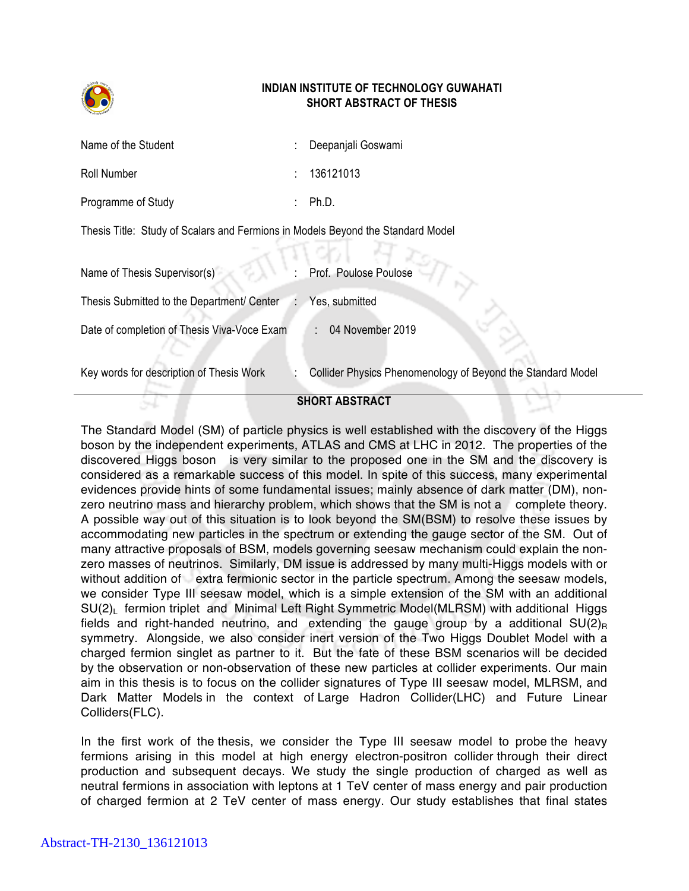

## **INDIAN INSTITUTE OF TECHNOLOGY GUWAHATI SHORT ABSTRACT OF THESIS**

| Name of the Student                                                             | Deepanjali Goswami                                          |
|---------------------------------------------------------------------------------|-------------------------------------------------------------|
| Roll Number                                                                     | 136121013                                                   |
| Programme of Study                                                              | Ph.D.                                                       |
| Thesis Title: Study of Scalars and Fermions in Models Beyond the Standard Model |                                                             |
|                                                                                 |                                                             |
| Name of Thesis Supervisor(s)                                                    | Prof. Poulose Poulose                                       |
| Thesis Submitted to the Department/ Center<br>$\sim$                            | Yes, submitted                                              |
| Date of completion of Thesis Viva-Voce Exam                                     | : 04 November 2019                                          |
| Key words for description of Thesis Work                                        | Collider Physics Phenomenology of Beyond the Standard Model |

## **SHORT ABSTRACT**

The Standard Model (SM) of particle physics is well established with the discovery of the Higgs boson by the independent experiments, ATLAS and CMS at LHC in 2012. The properties of the discovered Higgs boson is very similar to the proposed one in the SM and the discovery is considered as a remarkable success of this model. In spite of this success, many experimental evidences provide hints of some fundamental issues; mainly absence of dark matter (DM), nonzero neutrino mass and hierarchy problem, which shows that the SM is not a complete theory. A possible way out of this situation is to look beyond the SM(BSM) to resolve these issues by accommodating new particles in the spectrum or extending the gauge sector of the SM. Out of many attractive proposals of BSM, models governing seesaw mechanism could explain the nonzero masses of neutrinos. Similarly, DM issue is addressed by many multi-Higgs models with or without addition of extra fermionic sector in the particle spectrum. Among the seesaw models, we consider Type III seesaw model, which is a simple extension of the SM with an additional SU(2)<sub>L</sub> fermion triplet and Minimal Left Right Symmetric Model(MLRSM) with additional Higgs fields and right-handed neutrino, and extending the gauge group by a additional  $SU(2)_R$ symmetry. Alongside, we also consider inert version of the Two Higgs Doublet Model with a charged fermion singlet as partner to it. But the fate of these BSM scenarios will be decided by the observation or non-observation of these new particles at collider experiments. Our main aim in this thesis is to focus on the collider signatures of Type III seesaw model, MLRSM, and Dark Matter Models in the context of Large Hadron Collider(LHC) and Future Linear Colliders(FLC).

In the first work of the thesis, we consider the Type III seesaw model to probe the heavy fermions arising in this model at high energy electron-positron collider through their direct production and subsequent decays. We study the single production of charged as well as neutral fermions in association with leptons at 1 TeV center of mass energy and pair production of charged fermion at 2 TeV center of mass energy. Our study establishes that final states